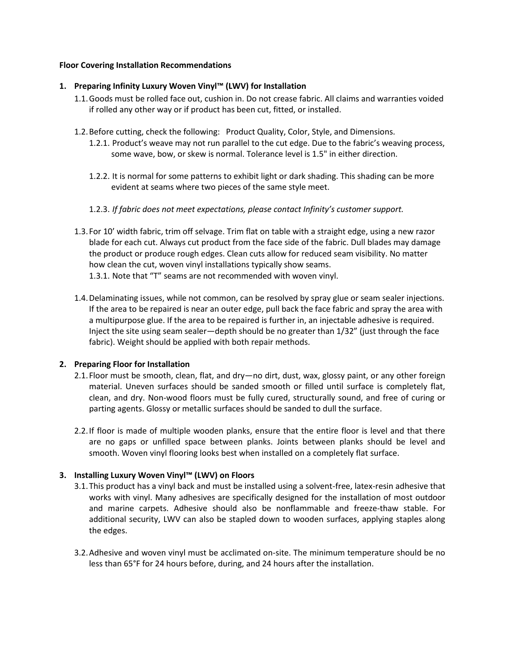#### **Floor Covering Installation Recommendations**

## **1. Preparing Infinity Luxury Woven Vinyl™ (LWV) for Installation**

- 1.1.Goods must be rolled face out, cushion in. Do not crease fabric. All claims and warranties voided if rolled any other way or if product has been cut, fitted, or installed.
- 1.2.Before cutting, check the following: Product Quality, Color, Style, and Dimensions.
	- 1.2.1. Product's weave may not run parallel to the cut edge. Due to the fabric's weaving process, some wave, bow, or skew is normal. Tolerance level is 1.5" in either direction.
	- 1.2.2. It is normal for some patterns to exhibit light or dark shading. This shading can be more evident at seams where two pieces of the same style meet.
	- 1.2.3. *If fabric does not meet expectations, please contact Infinity's customer support.*
- 1.3.For 10' width fabric, trim off selvage. Trim flat on table with a straight edge, using a new razor blade for each cut. Always cut product from the face side of the fabric. Dull blades may damage the product or produce rough edges. Clean cuts allow for reduced seam visibility. No matter how clean the cut, woven vinyl installations typically show seams. 1.3.1. Note that "T" seams are not recommended with woven vinyl.
- 1.4.Delaminating issues, while not common, can be resolved by spray glue or seam sealer injections. If the area to be repaired is near an outer edge, pull back the face fabric and spray the area with a multipurpose glue. If the area to be repaired is further in, an injectable adhesive is required. Inject the site using seam sealer—depth should be no greater than 1/32" (just through the face fabric). Weight should be applied with both repair methods.

## **2. Preparing Floor for Installation**

- 2.1.Floor must be smooth, clean, flat, and dry—no dirt, dust, wax, glossy paint, or any other foreign material. Uneven surfaces should be sanded smooth or filled until surface is completely flat, clean, and dry. Non-wood floors must be fully cured, structurally sound, and free of curing or parting agents. Glossy or metallic surfaces should be sanded to dull the surface.
- 2.2.If floor is made of multiple wooden planks, ensure that the entire floor is level and that there are no gaps or unfilled space between planks. Joints between planks should be level and smooth. Woven vinyl flooring looks best when installed on a completely flat surface.

## **3. Installing Luxury Woven Vinyl™ (LWV) on Floors**

- 3.1.This product has a vinyl back and must be installed using a solvent-free, latex-resin adhesive that works with vinyl. Many adhesives are specifically designed for the installation of most outdoor and marine carpets. Adhesive should also be nonflammable and freeze-thaw stable. For additional security, LWV can also be stapled down to wooden surfaces, applying staples along the edges.
- 3.2.Adhesive and woven vinyl must be acclimated on-site. The minimum temperature should be no less than 65°F for 24 hours before, during, and 24 hours after the installation.